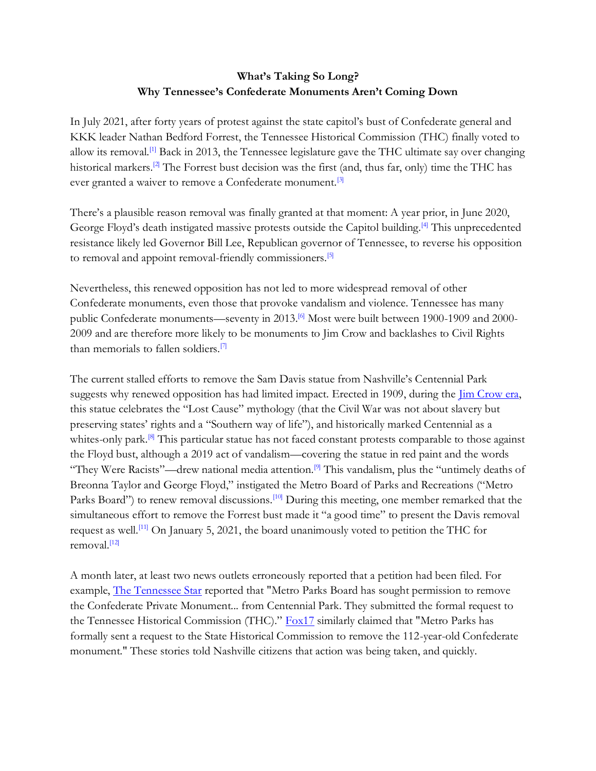## **What's Taking So Long? Why Tennessee's Confederate Monuments Aren't Coming Down**

In July 2021, after forty years of protest against the state capitol's bust of Confederate general and KKK leader Nathan Bedford Forrest, the Tennessee Historical Commission (THC) finally voted to allow its removal.<sup>[1]</sup> Back in 2013, the Tennessee legislature gave the THC ultimate say over changing historical markers.<sup>[2]</sup> The Forrest bust decision was the first (and, thus far, only) time the THC has ever granted a waiver to remove a Confederate monument.<sup>[3]</sup>

There's a plausible reason removal was finally granted at that moment: A year prior, in June 2020, George Floyd's death instigated massive protests outside the Capitol building.<sup>[4]</sup> This unprecedented resistance likely led Governor Bill Lee, Republican governor of Tennessee, to reverse his opposition to removal and appoint removal-friendly commissioners.<sup>[5]</sup>

Nevertheless, this renewed opposition has not led to more widespread removal of other Confederate monuments, even those that provoke vandalism and violence. Tennessee has many public Confederate monuments—seventy in 2013.<sup>[6]</sup> Most were built between 1900-1909 and 2000-2009 and are therefore more likely to be monuments to Jim Crow and backlashes to Civil Rights than memorials to fallen soldiers.<sup>[7]</sup>

The current stalled efforts to remove the Sam Davis statue from Nashville's Centennial Park sugg[e](https://www.blackpast.org/african-american-history/jim-crow-laws-tennessee-1866-1955/)sts why renewed opposition has had limited impact. Erected in 1909, during the *Jim Crow era*, this statue celebrates the "Lost Cause" mythology (that the Civil War was not about slavery but preserving states' rights and a "Southern way of life"), and historically marked Centennial as a whites-only park.<sup>[8]</sup> This particular statue has not faced constant protests comparable to those against the Floyd bust, although a 2019 act of vandalism—covering the statue in red paint and the words "They Were Racists"—drew national media attention.<sup>[9]</sup> This vandalism, plus the "untimely deaths of Breonna Taylor and George Floyd," instigated the Metro Board of Parks and Recreations ("Metro Parks Board") to renew removal discussions.<sup>[10]</sup> During this meeting, one member remarked that the simultaneous effort to remove the Forrest bust made it "a good time" to present the Davis removal request as well.<sup>[11]</sup> On January 5, 2021, the board unanimously voted to petition the THC for removal.<sup>[12]</sup>

A month later, at least two news outlets erroneously reported that a petition had been filed. For example[,](https://tennesseestar.com/2021/02/05/metro-parks-board-petitions-state-historical-commission-to-remove-sam-davis-statue/) [The Tennessee Star](https://tennesseestar.com/2021/02/05/metro-parks-board-petitions-state-historical-commission-to-remove-sam-davis-statue/) reported that "Metro Parks Board has sought permission to remove the Confederate Private Monument... from Centennial Park. They submitted the formal request to the Tennessee Historical Commission (THC).["](https://fox17.com/news/local/nashville-parks-asking-states-permission-to-remove-confederate-statue-targeted-by-vandals-sam-davis-metro-centennial-park) [Fox17](https://fox17.com/news/local/nashville-parks-asking-states-permission-to-remove-confederate-statue-targeted-by-vandals-sam-davis-metro-centennial-park) similarly claimed that "Metro Parks has formally sent a request to the State Historical Commission to remove the 112-year-old Confederate monument." These stories told Nashville citizens that action was being taken, and quickly.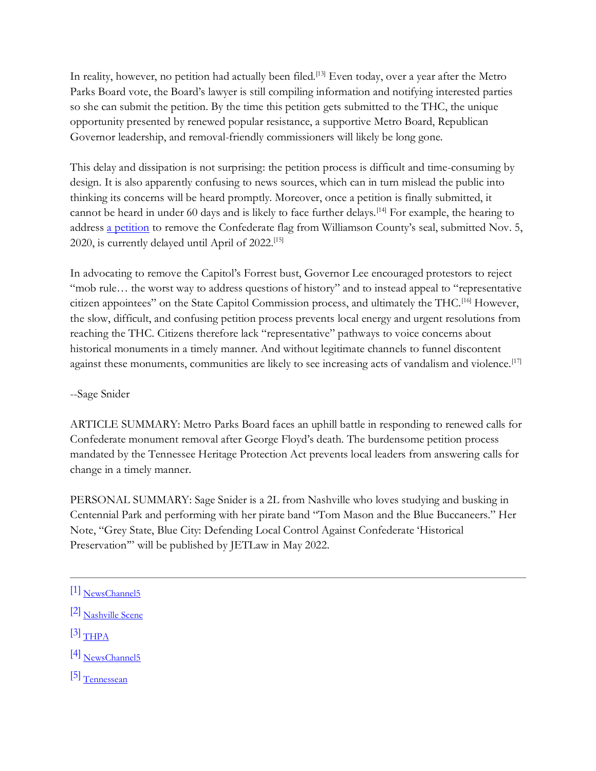In reality, however, no petition had actually been filed.<sup>[13]</sup> Even today, over a year after the Metro Parks Board vote, the Board's lawyer is still compiling information and notifying interested parties so she can submit the petition. By the time this petition gets submitted to the THC, the unique opportunity presented by renewed popular resistance, a supportive Metro Board, Republican Governor leadership, and removal-friendly commissioners will likely be long gone.

This delay and dissipation is not surprising: the petition process is difficult and time-consuming by design. It is also apparently confusing to news sources, which can in turn mislead the public into thinking its concerns will be heard promptly. Moreover, once a petition is finally submitted, it cannot be heard in under 60 days and is likely to face further delays.<sup>[14]</sup> For example, the hearing to addres[s](https://www.tn.gov/content/dam/tn/environment/historic-commission/thpa-waiver-petitions/Williamson%20Co%20petition%20THC_2020.pdf) [a petition](https://www.tn.gov/content/dam/tn/environment/historic-commission/thpa-waiver-petitions/Williamson%20Co%20petition%20THC_2020.pdf) to remove the Confederate flag from Williamson County's seal, submitted Nov. 5, 2020, is currently delayed until April of 2022.[15]

In advocating to remove the Capitol's Forrest bust, Governor Lee encouraged protestors to reject "mob rule... the worst way to address questions of history" and to instead appeal to "representative citizen appointees" on the State Capitol Commission process, and ultimately the THC.[16] However, the slow, difficult, and confusing petition process prevents local energy and urgent resolutions from reaching the THC. Citizens therefore lack "representative" pathways to voice concerns about historical monuments in a timely manner. And without legitimate channels to funnel discontent against these monuments, communities are likely to see increasing acts of vandalism and violence.<sup>[17]</sup>

## --Sage Snider

ARTICLE SUMMARY: Metro Parks Board faces an uphill battle in responding to renewed calls for Confederate monument removal after George Floyd's death. The burdensome petition process mandated by the Tennessee Heritage Protection Act prevents local leaders from answering calls for change in a timely manner.

PERSONAL SUMMARY: Sage Snider is a 2L from Nashville who loves studying and busking in Centennial Park and performing with her pirate band "Tom Mason and the Blue Buccaneers." Her Note, "Grey State, Blue City: Defending Local Control Against Confederate 'Historical Preservation" will be published by JETLaw in May 2022.

- [2[\]](https://www.nashvillescene.com/news/coverstory/the-tennessee-heritage-protection-act-shields-confederate-monuments/article_78d6b94a-f4cd-5c01-b077-61d75cfcf23a.html) [Nashville Scene](https://www.nashvillescene.com/news/coverstory/the-tennessee-heritage-protection-act-shields-confederate-monuments/article_78d6b94a-f4cd-5c01-b077-61d75cfcf23a.html)
- $[3]$  $[3]$  [THPA](https://www.tn.gov/historicalcommission/tennessee-heritage-protection-act.html)
- [4[\]](https://www.newschannel5.com/news/the-history-of-the-nathan-bedford-forrest-busts-move-from-the-capitol-to-the-state-museum) [NewsChannel5](https://www.newschannel5.com/news/the-history-of-the-nathan-bedford-forrest-busts-move-from-the-capitol-to-the-state-museum)
- [5[\]](https://www.tennessean.com/story/news/politics/2021/02/16/tn-capitol-remove-forrest-bust-bill-lee-prepares-commission-vote/6736838002/) [Tennessean](https://www.tennessean.com/story/news/politics/2021/02/16/tn-capitol-remove-forrest-bust-bill-lee-prepares-commission-vote/6736838002/)

<sup>[1</sup>[\]](https://www.newschannel5.com/news/the-history-of-the-nathan-bedford-forrest-busts-move-from-the-capitol-to-the-state-museum) [NewsChannel5](https://www.newschannel5.com/news/the-history-of-the-nathan-bedford-forrest-busts-move-from-the-capitol-to-the-state-museum)